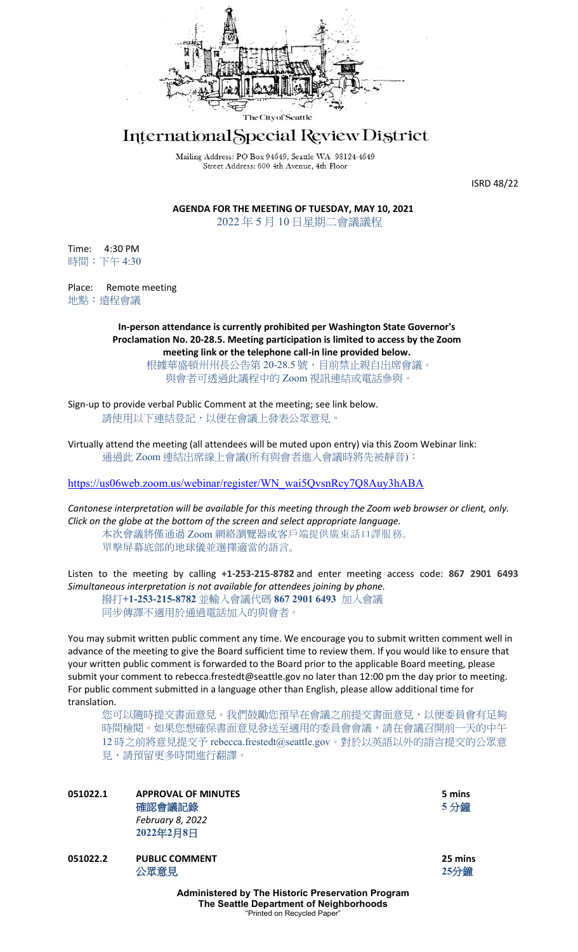

## International Special Review District

Mailing Address: PO Box 94649, Seattle WA 98124-4649 Street Address: 600 4th Avenue, 4th Floor

ISRD 48/22

**AGENDA FOR THE MEETING OF TUESDAY, MAY 10, 2021** 2022 年 5 月 10 日星期二會議議程

Time: 4:30 PM 時間:下午 4:30

Place: Remote meeting 地點:遠程會議

> **In-person attendance is currently prohibited per Washington State Governor's Proclamation No. 20-28.5. Meeting participation is limited to access by the Zoom meeting link or the telephone call-in line provided below.**

> > 根據華盛頓州州長公告第 20-28.5 號, 目前禁止親自出席會議。 與會者可透過此議程中的 Zoom 視訊連結或電話參與。

Sign-up to provide verbal Public Comment at the meeting; see link below. 請使用以下連結登記,以便在會議上發表公眾意見。

Virtually attend the meeting (all attendees will be muted upon entry) via this Zoom Webinar link: 通過此 Zoom 連結出席線上會議(所有與會者進入會議時將先被靜音):

[https://us06web.zoom.us/webinar/register/WN\\_wai5QvsnRcy7Q8Auy3hABA](https://us06web.zoom.us/webinar/register/WN_wai5QvsnRcy7Q8Auy3hABA)

*Cantonese interpretation will be available for this meeting through the Zoom web browser or client, only. Click on the globe at the bottom of the screen and select appropriate language.* 本次會議將僅通過 Zoom 網絡瀏覽器或客戶端提供廣東話口譯服務。

單擊屏幕底部的地球儀並選擇適當的語言。

Listen to the meeting by calling **+1-253-215-8782** and enter meeting access code: **867 2901 6493** *Simultaneous interpretation is not available for attendees joining by phone.* 撥打**+1-253-215-8782** 並輸入會議代碼 **867 2901 6493** 加入會議 同步傳譯不適用於通過電話加入的與會者。

You may submit written public comment any time. We encourage you to submit written comment well in advance of the meeting to give the Board sufficient time to review them. If you would like to ensure that your written public comment is forwarded to the Board prior to the applicable Board meeting, please submit your comment to rebecca.frestedt@seattle.gov no later than 12:00 pm the day prior to meeting. For public comment submitted in a language other than English, please allow additional time for translation.

您可以隨時提交書面意見。我們鼓勵您預早在會議之前提交書面意見,以便委員會有足夠 時間檢閱。如果您想確保書面意見發送至適用的委員會會議,請在會議召開前一天的中午 12 時之前將意見提交予 rebecca.frestedt@seattle.gov。對於以英語以外的語言提交的公眾意 見,請預留更多時間進行翻譯。

| 051022.1 | <b>APPROVAL OF MINUTES</b><br>確認會議記錄<br>February 8, 2022<br>2022年2月8日                               | 5 mins<br>5分鐘   |
|----------|-----------------------------------------------------------------------------------------------------|-----------------|
| 051022.2 | <b>PUBLIC COMMENT</b><br>公眾意見                                                                       | 25 mins<br>25分鐘 |
|          | <b>Administered by The Historic Preservation Program</b><br>The Seattle Department of Neighborhoods |                 |

"Printed on Recycled Paper"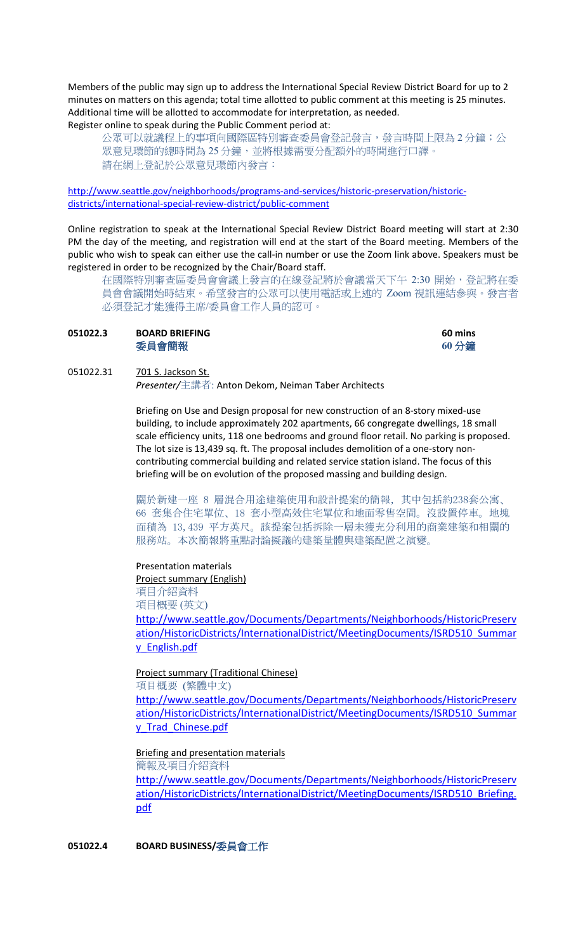Members of the public may sign up to address the International Special Review District Board for up to 2 minutes on matters on this agenda; total time allotted to public comment at this meeting is 25 minutes. Additional time will be allotted to accommodate for interpretation, as needed. Register online to speak during the Public Comment period at:

公眾可以就議程上的事項向國際區特別審查委員會登記發言,發言時間上限為 2 分鐘;公 眾意見環節的總時間為 25 分鐘,並將根據需要分配額外的時間進行口譯。 請在網上登記於公眾意見環節內發言:

[http://www.seattle.gov/neighborhoods/programs-and-services/historic-preservation/historic](http://www.seattle.gov/neighborhoods/programs-and-services/historic-preservation/historic-districts/international-special-review-district/public-comment)[districts/international-special-review-district/public-comment](http://www.seattle.gov/neighborhoods/programs-and-services/historic-preservation/historic-districts/international-special-review-district/public-comment)

Online registration to speak at the International Special Review District Board meeting will start at 2:30 PM the day of the meeting, and registration will end at the start of the Board meeting. Members of the public who wish to speak can either use the call-in number or use the Zoom link above. Speakers must be registered in order to be recognized by the Chair/Board staff.

在國際特別審查區委員會會議上發言的在線登記將於會議當天下午 2:30 開始,登記將在委 員會會議開始時結束。希望發言的公眾可以使用電話或上述的 Zoom 視訊連結參與。發言者 必須登記才能獲得主席/委員會工作人員的認可。

| 051022.3 | <b>BOARD BRIEFING</b> | <b>60 mins</b> |
|----------|-----------------------|----------------|
|          | 委員會簡報                 | 60 分鐘          |

051022.31 701 S. Jackson St. *Presenter/*主講者: Anton Dekom, Neiman Taber Architects

> Briefing on Use and Design proposal for new construction of an 8-story mixed-use building, to include approximately 202 apartments, 66 congregate dwellings, 18 small scale efficiency units, 118 one bedrooms and ground floor retail. No parking is proposed. The lot size is 13,439 sq. ft. The proposal includes demolition of a one-story noncontributing commercial building and related service station island. The focus of this briefing will be on evolution of the proposed massing and building design.

> 關於新建一座 8 層混合用途建築使用和設計提案的簡報,其中包括約238套公寓、 66 套集合住宅單位、18 套小型高效住宅單位和地面零售空間。沒設置停車。地塊 面積為 13,439 平方英尺。該提案包括拆除一層未獲充分利用的商業建築和相關的 服務站。本次簡報將重點討論擬議的建築量體與建築配置之演變。

## Presentation materials

Project summary (English) 項目介紹資料

項目概要 (英文)

[http://www.seattle.gov/Documents/Departments/Neighborhoods/HistoricPreserv](http://www.seattle.gov/Documents/Departments/Neighborhoods/HistoricPreservation/HistoricDistricts/InternationalDistrict/MeetingDocuments/ISRD510_Summary_English.pdf) [ation/HistoricDistricts/InternationalDistrict/MeetingDocuments/ISRD510\\_Summar](http://www.seattle.gov/Documents/Departments/Neighborhoods/HistoricPreservation/HistoricDistricts/InternationalDistrict/MeetingDocuments/ISRD510_Summary_English.pdf) [y\\_English.pdf](http://www.seattle.gov/Documents/Departments/Neighborhoods/HistoricPreservation/HistoricDistricts/InternationalDistrict/MeetingDocuments/ISRD510_Summary_English.pdf)

Project summary (Traditional Chinese)

項目概要 (繁體中文)

[http://www.seattle.gov/Documents/Departments/Neighborhoods/HistoricPreserv](http://www.seattle.gov/Documents/Departments/Neighborhoods/HistoricPreservation/HistoricDistricts/InternationalDistrict/MeetingDocuments/ISRD510_Summary_Trad_Chinese.pdf) [ation/HistoricDistricts/InternationalDistrict/MeetingDocuments/ISRD510\\_Summar](http://www.seattle.gov/Documents/Departments/Neighborhoods/HistoricPreservation/HistoricDistricts/InternationalDistrict/MeetingDocuments/ISRD510_Summary_Trad_Chinese.pdf) [y\\_Trad\\_Chinese.pdf](http://www.seattle.gov/Documents/Departments/Neighborhoods/HistoricPreservation/HistoricDistricts/InternationalDistrict/MeetingDocuments/ISRD510_Summary_Trad_Chinese.pdf)

Briefing and presentation materials

簡報及項目介紹資料

[http://www.seattle.gov/Documents/Departments/Neighborhoods/HistoricPreserv](http://www.seattle.gov/Documents/Departments/Neighborhoods/HistoricPreservation/HistoricDistricts/InternationalDistrict/MeetingDocuments/ISRD510_Briefing.pdf) [ation/HistoricDistricts/InternationalDistrict/MeetingDocuments/ISRD510\\_Briefing.](http://www.seattle.gov/Documents/Departments/Neighborhoods/HistoricPreservation/HistoricDistricts/InternationalDistrict/MeetingDocuments/ISRD510_Briefing.pdf) [pdf](http://www.seattle.gov/Documents/Departments/Neighborhoods/HistoricPreservation/HistoricDistricts/InternationalDistrict/MeetingDocuments/ISRD510_Briefing.pdf)